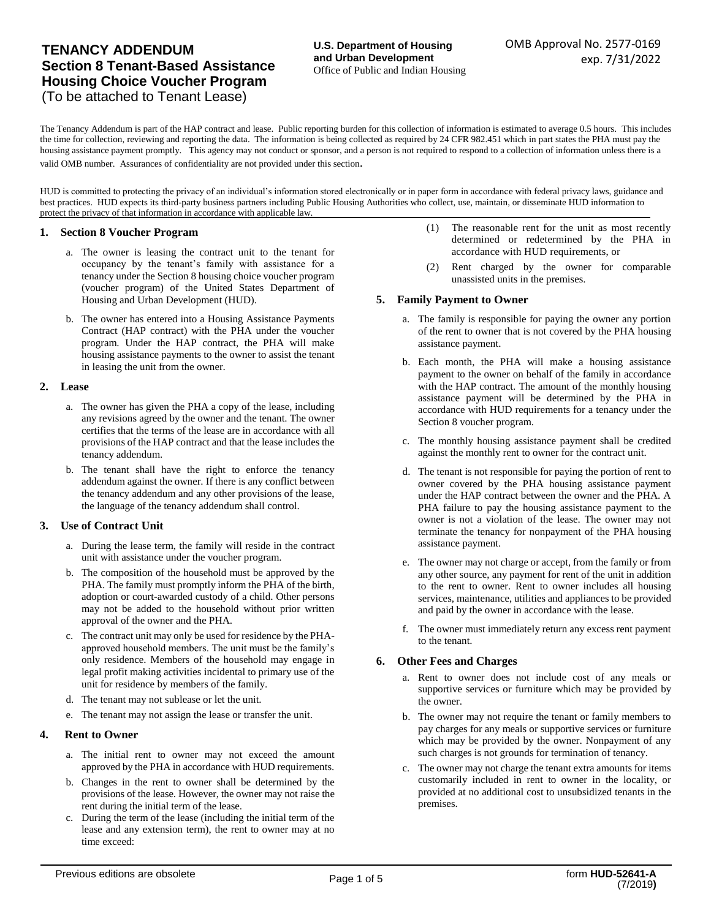# **TENANCY ADDENDUM Section 8 Tenant-Based Assistance Housing Choice Voucher Program**  (To be attached to Tenant Lease)

The Tenancy Addendum is part of the HAP contract and lease. Public reporting burden for this collection of information is estimated to average 0.5 hours. This includes the time for collection, reviewing and reporting the data. The information is being collected as required by 24 CFR 982.451 which in part states the PHA must pay the housing assistance payment promptly. This agency may not conduct or sponsor, and a person is not required to respond to a collection of information unless there is a valid OMB number. Assurances of confidentiality are not provided under this section.

HUD is committed to protecting the privacy of an individual's information stored electronically or in paper form in accordance with federal privacy laws, guidance and best practices. HUD expects its third-party business partners including Public Housing Authorities who collect, use, maintain, or disseminate HUD information to protect the privacy of that information in accordance with applicable law.

#### **1. Section 8 Voucher Program**

- a. The owner is leasing the contract unit to the tenant for occupancy by the tenant's family with assistance for a tenancy under the Section 8 housing choice voucher program (voucher program) of the United States Department of Housing and Urban Development (HUD).
- b. The owner has entered into a Housing Assistance Payments Contract (HAP contract) with the PHA under the voucher program. Under the HAP contract, the PHA will make housing assistance payments to the owner to assist the tenant in leasing the unit from the owner.

#### **2. Lease**

- a. The owner has given the PHA a copy of the lease, including any revisions agreed by the owner and the tenant. The owner certifies that the terms of the lease are in accordance with all provisions of the HAP contract and that the lease includes the tenancy addendum.
- b. The tenant shall have the right to enforce the tenancy addendum against the owner. If there is any conflict between the tenancy addendum and any other provisions of the lease, the language of the tenancy addendum shall control.

#### **3. Use of Contract Unit**

- a. During the lease term, the family will reside in the contract unit with assistance under the voucher program.
- b. The composition of the household must be approved by the PHA. The family must promptly inform the PHA of the birth, adoption or court-awarded custody of a child. Other persons may not be added to the household without prior written approval of the owner and the PHA.
- c. The contract unit may only be used for residence by the PHAapproved household members. The unit must be the family's only residence. Members of the household may engage in legal profit making activities incidental to primary use of the unit for residence by members of the family.
- d. The tenant may not sublease or let the unit.
- e. The tenant may not assign the lease or transfer the unit.

#### **4. Rent to Owner**

- a. The initial rent to owner may not exceed the amount approved by the PHA in accordance with HUD requirements.
- b. Changes in the rent to owner shall be determined by the provisions of the lease. However, the owner may not raise the rent during the initial term of the lease.
- c. During the term of the lease (including the initial term of the lease and any extension term), the rent to owner may at no time exceed:
- (1) The reasonable rent for the unit as most recently determined or redetermined by the PHA in accordance with HUD requirements, or
- (2) Rent charged by the owner for comparable unassisted units in the premises.

#### **5. Family Payment to Owner**

- a. The family is responsible for paying the owner any portion of the rent to owner that is not covered by the PHA housing assistance payment.
- b. Each month, the PHA will make a housing assistance payment to the owner on behalf of the family in accordance with the HAP contract. The amount of the monthly housing assistance payment will be determined by the PHA in accordance with HUD requirements for a tenancy under the Section 8 voucher program.
- c. The monthly housing assistance payment shall be credited against the monthly rent to owner for the contract unit.
- d. The tenant is not responsible for paying the portion of rent to owner covered by the PHA housing assistance payment under the HAP contract between the owner and the PHA. A PHA failure to pay the housing assistance payment to the owner is not a violation of the lease. The owner may not terminate the tenancy for nonpayment of the PHA housing assistance payment.
- e. The owner may not charge or accept, from the family or from any other source, any payment for rent of the unit in addition to the rent to owner. Rent to owner includes all housing services, maintenance, utilities and appliances to be provided and paid by the owner in accordance with the lease.
- f. The owner must immediately return any excess rent payment to the tenant.

# **6. Other Fees and Charges**

- a. Rent to owner does not include cost of any meals or supportive services or furniture which may be provided by the owner.
- b. The owner may not require the tenant or family members to pay charges for any meals or supportive services or furniture which may be provided by the owner. Nonpayment of any such charges is not grounds for termination of tenancy.
- c. The owner may not charge the tenant extra amounts for items customarily included in rent to owner in the locality, or provided at no additional cost to unsubsidized tenants in the premises.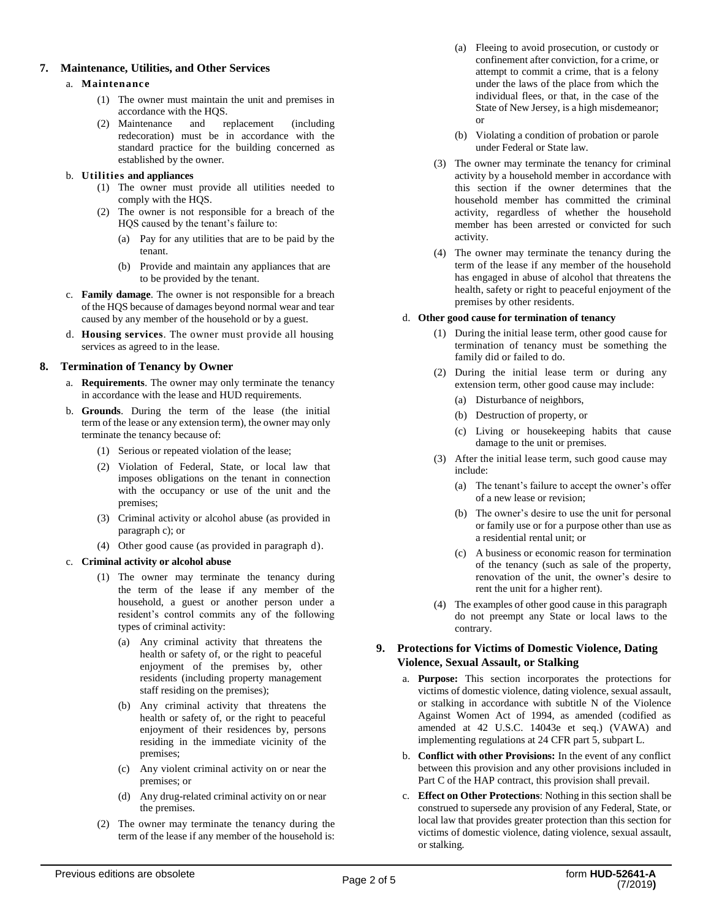# **7. Maintenance, Utilities, and Other Services**

### a. **Maintenance**

- (1) The owner must maintain the unit and premises in accordance with the HQS.
- (2) Maintenance and replacement (including redecoration) must be in accordance with the standard practice for the building concerned as established by the owner.

### b. **Utilities and appliances**

- (1) The owner must provide all utilities needed to comply with the HQS.
- (2) The owner is not responsible for a breach of the HQS caused by the tenant's failure to:
	- (a) Pay for any utilities that are to be paid by the tenant.
	- (b) Provide and maintain any appliances that are to be provided by the tenant.
- c. **Family damage**. The owner is not responsible for a breach of the HQS because of damages beyond normal wear and tear caused by any member of the household or by a guest.
- d. **Housing services**. The owner must provide all housing services as agreed to in the lease.

# **8. Termination of Tenancy by Owner**

- a. **Requirements**. The owner may only terminate the tenancy in accordance with the lease and HUD requirements.
- b. **Grounds**. During the term of the lease (the initial term of the lease or any extension term), the owner may only terminate the tenancy because of:
	- (1) Serious or repeated violation of the lease;
	- (2) Violation of Federal, State, or local law that imposes obligations on the tenant in connection with the occupancy or use of the unit and the premises;
	- (3) Criminal activity or alcohol abuse (as provided in paragraph c); or
	- (4) Other good cause (as provided in paragraph d).

# c. **Criminal activity or alcohol abuse**

- (1) The owner may terminate the tenancy during the term of the lease if any member of the household, a guest or another person under a resident's control commits any of the following types of criminal activity:
	- (a) Any criminal activity that threatens the health or safety of, or the right to peaceful enjoyment of the premises by, other residents (including property management staff residing on the premises);
	- (b) Any criminal activity that threatens the health or safety of, or the right to peaceful enjoyment of their residences by, persons residing in the immediate vicinity of the premises;
	- (c) Any violent criminal activity on or near the premises; or
	- (d) Any drug-related criminal activity on or near the premises.
- (2) The owner may terminate the tenancy during the term of the lease if any member of the household is:
- (a) Fleeing to avoid prosecution, or custody or confinement after conviction, for a crime, or attempt to commit a crime, that is a felony under the laws of the place from which the individual flees, or that, in the case of the State of New Jersey, is a high misdemeanor; or
- (b) Violating a condition of probation or parole under Federal or State law.
- (3) The owner may terminate the tenancy for criminal activity by a household member in accordance with this section if the owner determines that the household member has committed the criminal activity, regardless of whether the household member has been arrested or convicted for such activity.
- (4) The owner may terminate the tenancy during the term of the lease if any member of the household has engaged in abuse of alcohol that threatens the health, safety or right to peaceful enjoyment of the premises by other residents.

#### d. **Other good cause for termination of tenancy**

- (1) During the initial lease term, other good cause for termination of tenancy must be something the family did or failed to do.
- (2) During the initial lease term or during any extension term, other good cause may include:
	- (a) Disturbance of neighbors,
	- (b) Destruction of property, or
	- (c) Living or housekeeping habits that cause damage to the unit or premises.
- (3) After the initial lease term, such good cause may include:
	- (a) The tenant's failure to accept the owner's offer of a new lease or revision;
	- (b) The owner's desire to use the unit for personal or family use or for a purpose other than use as a residential rental unit; or
	- (c) A business or economic reason for termination of the tenancy (such as sale of the property, renovation of the unit, the owner's desire to rent the unit for a higher rent).
- (4) The examples of other good cause in this paragraph do not preempt any State or local laws to the contrary.

### **9. Protections for Victims of Domestic Violence, Dating Violence, Sexual Assault, or Stalking**

- a. **Purpose:** This section incorporates the protections for victims of domestic violence, dating violence, sexual assault, or stalking in accordance with subtitle N of the Violence Against Women Act of 1994, as amended (codified as amended at 42 U.S.C. 14043e et seq.) (VAWA) and implementing regulations at 24 CFR part 5, subpart L.
- b. **Conflict with other Provisions:** In the event of any conflict between this provision and any other provisions included in Part C of the HAP contract, this provision shall prevail.
- c. **Effect on Other Protections**: Nothing in this section shall be construed to supersede any provision of any Federal, State, or local law that provides greater protection than this section for victims of domestic violence, dating violence, sexual assault, or stalking.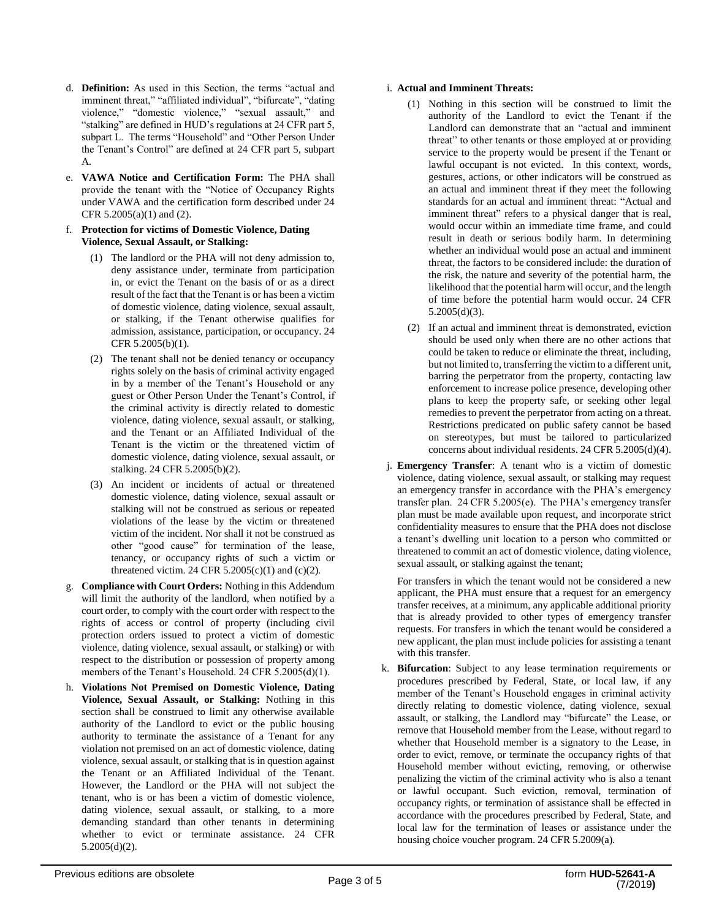- d. **Definition:** As used in this Section, the terms "actual and imminent threat," "affiliated individual", "bifurcate", "dating violence," "domestic violence," "sexual assault," and "stalking" are defined in HUD's regulations at 24 CFR part 5, subpart L. The terms "Household" and "Other Person Under the Tenant's Control" are defined at 24 CFR part 5, subpart A.
- e. **VAWA Notice and Certification Form:** The PHA shall provide the tenant with the "Notice of Occupancy Rights under VAWA and the certification form described under 24 CFR 5.2005(a)(1) and (2).
- f. **Protection for victims of Domestic Violence, Dating Violence, Sexual Assault, or Stalking:**
	- (1) The landlord or the PHA will not deny admission to, deny assistance under, terminate from participation in, or evict the Tenant on the basis of or as a direct result of the fact that the Tenant is or has been a victim of domestic violence, dating violence, sexual assault, or stalking, if the Tenant otherwise qualifies for admission, assistance, participation, or occupancy. 24 CFR 5.2005(b)(1).
	- (2) The tenant shall not be denied tenancy or occupancy rights solely on the basis of criminal activity engaged in by a member of the Tenant's Household or any guest or Other Person Under the Tenant's Control, if the criminal activity is directly related to domestic violence, dating violence, sexual assault, or stalking, and the Tenant or an Affiliated Individual of the Tenant is the victim or the threatened victim of domestic violence, dating violence, sexual assault, or stalking. 24 CFR 5.2005(b)(2).
	- (3) An incident or incidents of actual or threatened domestic violence, dating violence, sexual assault or stalking will not be construed as serious or repeated violations of the lease by the victim or threatened victim of the incident. Nor shall it not be construed as other "good cause" for termination of the lease, tenancy, or occupancy rights of such a victim or threatened victim. 24 CFR  $5.2005(c)(1)$  and  $(c)(2)$ .
- g. **Compliance with Court Orders:** Nothing in this Addendum will limit the authority of the landlord, when notified by a court order, to comply with the court order with respect to the rights of access or control of property (including civil protection orders issued to protect a victim of domestic violence, dating violence, sexual assault, or stalking) or with respect to the distribution or possession of property among members of the Tenant's Household. 24 CFR 5.2005(d)(1).
- h. **Violations Not Premised on Domestic Violence, Dating Violence, Sexual Assault, or Stalking:** Nothing in this section shall be construed to limit any otherwise available authority of the Landlord to evict or the public housing authority to terminate the assistance of a Tenant for any violation not premised on an act of domestic violence, dating violence, sexual assault, or stalking that is in question against the Tenant or an Affiliated Individual of the Tenant. However, the Landlord or the PHA will not subject the tenant, who is or has been a victim of domestic violence, dating violence, sexual assault, or stalking, to a more demanding standard than other tenants in determining whether to evict or terminate assistance. 24 CFR 5.2005(d)(2).

# i. **Actual and Imminent Threats:**

- (1) Nothing in this section will be construed to limit the authority of the Landlord to evict the Tenant if the Landlord can demonstrate that an "actual and imminent threat" to other tenants or those employed at or providing service to the property would be present if the Tenant or lawful occupant is not evicted. In this context, words, gestures, actions, or other indicators will be construed as an actual and imminent threat if they meet the following standards for an actual and imminent threat: "Actual and imminent threat" refers to a physical danger that is real, would occur within an immediate time frame, and could result in death or serious bodily harm. In determining whether an individual would pose an actual and imminent threat, the factors to be considered include: the duration of the risk, the nature and severity of the potential harm, the likelihood that the potential harm will occur, and the length of time before the potential harm would occur. 24 CFR 5.2005(d)(3).
- (2) If an actual and imminent threat is demonstrated, eviction should be used only when there are no other actions that could be taken to reduce or eliminate the threat, including, but not limited to, transferring the victim to a different unit, barring the perpetrator from the property, contacting law enforcement to increase police presence, developing other plans to keep the property safe, or seeking other legal remedies to prevent the perpetrator from acting on a threat. Restrictions predicated on public safety cannot be based on stereotypes, but must be tailored to particularized concerns about individual residents. 24 CFR 5.2005(d)(4).
- j. **Emergency Transfer**: A tenant who is a victim of domestic violence, dating violence, sexual assault, or stalking may request an emergency transfer in accordance with the PHA's emergency transfer plan. 24 CFR 5.2005(e). The PHA's emergency transfer plan must be made available upon request, and incorporate strict confidentiality measures to ensure that the PHA does not disclose a tenant's dwelling unit location to a person who committed or threatened to commit an act of domestic violence, dating violence, sexual assault, or stalking against the tenant;

For transfers in which the tenant would not be considered a new applicant, the PHA must ensure that a request for an emergency transfer receives, at a minimum, any applicable additional priority that is already provided to other types of emergency transfer requests. For transfers in which the tenant would be considered a new applicant, the plan must include policies for assisting a tenant with this transfer.

k. **Bifurcation**: Subject to any lease termination requirements or procedures prescribed by Federal, State, or local law, if any member of the Tenant's Household engages in criminal activity directly relating to domestic violence, dating violence, sexual assault, or stalking, the Landlord may "bifurcate" the Lease, or remove that Household member from the Lease, without regard to whether that Household member is a signatory to the Lease, in order to evict, remove, or terminate the occupancy rights of that Household member without evicting, removing, or otherwise penalizing the victim of the criminal activity who is also a tenant or lawful occupant. Such eviction, removal, termination of occupancy rights, or termination of assistance shall be effected in accordance with the procedures prescribed by Federal, State, and local law for the termination of leases or assistance under the housing choice voucher program. 24 CFR 5.2009(a).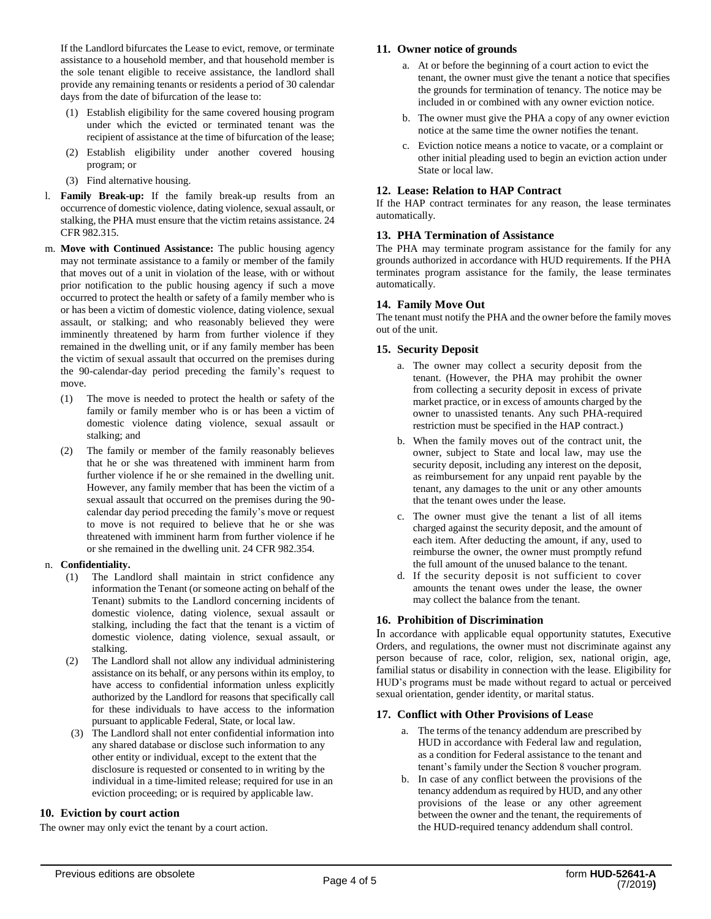If the Landlord bifurcates the Lease to evict, remove, or terminate assistance to a household member, and that household member is the sole tenant eligible to receive assistance, the landlord shall provide any remaining tenants or residents a period of 30 calendar days from the date of bifurcation of the lease to:

- (1) Establish eligibility for the same covered housing program under which the evicted or terminated tenant was the recipient of assistance at the time of bifurcation of the lease;
- (2) Establish eligibility under another covered housing program; or
- (3) Find alternative housing.
- l. **Family Break-up:** If the family break-up results from an occurrence of domestic violence, dating violence, sexual assault, or stalking, the PHA must ensure that the victim retains assistance. 24 CFR 982.315.
- m. **Move with Continued Assistance:** The public housing agency may not terminate assistance to a family or member of the family that moves out of a unit in violation of the lease, with or without prior notification to the public housing agency if such a move occurred to protect the health or safety of a family member who is or has been a victim of domestic violence, dating violence, sexual assault, or stalking; and who reasonably believed they were imminently threatened by harm from further violence if they remained in the dwelling unit, or if any family member has been the victim of sexual assault that occurred on the premises during the 90-calendar-day period preceding the family's request to move.
	- (1) The move is needed to protect the health or safety of the family or family member who is or has been a victim of domestic violence dating violence, sexual assault or stalking; and
	- (2) The family or member of the family reasonably believes that he or she was threatened with imminent harm from further violence if he or she remained in the dwelling unit. However, any family member that has been the victim of a sexual assault that occurred on the premises during the 90 calendar day period preceding the family's move or request to move is not required to believe that he or she was threatened with imminent harm from further violence if he or she remained in the dwelling unit. 24 CFR 982.354.

#### n. **Confidentiality.**

- (1) The Landlord shall maintain in strict confidence any information the Tenant (or someone acting on behalf of the Tenant) submits to the Landlord concerning incidents of domestic violence, dating violence, sexual assault or stalking, including the fact that the tenant is a victim of domestic violence, dating violence, sexual assault, or stalking.
- (2) The Landlord shall not allow any individual administering assistance on its behalf, or any persons within its employ, to have access to confidential information unless explicitly authorized by the Landlord for reasons that specifically call for these individuals to have access to the information pursuant to applicable Federal, State, or local law.
- (3) The Landlord shall not enter confidential information into any shared database or disclose such information to any other entity or individual, except to the extent that the disclosure is requested or consented to in writing by the individual in a time-limited release; required for use in an eviction proceeding; or is required by applicable law.

# **10. Eviction by court action**

The owner may only evict the tenant by a court action.

# **11. Owner notice of grounds**

- a. At or before the beginning of a court action to evict the tenant, the owner must give the tenant a notice that specifies the grounds for termination of tenancy. The notice may be included in or combined with any owner eviction notice.
- b. The owner must give the PHA a copy of any owner eviction notice at the same time the owner notifies the tenant.
- c. Eviction notice means a notice to vacate, or a complaint or other initial pleading used to begin an eviction action under State or local law.

### **12. Lease: Relation to HAP Contract**

If the HAP contract terminates for any reason, the lease terminates automatically.

### **13. PHA Termination of Assistance**

The PHA may terminate program assistance for the family for any grounds authorized in accordance with HUD requirements. If the PHA terminates program assistance for the family, the lease terminates automatically.

### **14. Family Move Out**

The tenant must notify the PHA and the owner before the family moves out of the unit.

### **15. Security Deposit**

- a. The owner may collect a security deposit from the tenant. (However, the PHA may prohibit the owner from collecting a security deposit in excess of private market practice, or in excess of amounts charged by the owner to unassisted tenants. Any such PHA-required restriction must be specified in the HAP contract.)
- b. When the family moves out of the contract unit, the owner, subject to State and local law, may use the security deposit, including any interest on the deposit, as reimbursement for any unpaid rent payable by the tenant, any damages to the unit or any other amounts that the tenant owes under the lease.
- c. The owner must give the tenant a list of all items charged against the security deposit, and the amount of each item. After deducting the amount, if any, used to reimburse the owner, the owner must promptly refund the full amount of the unused balance to the tenant.
- d. If the security deposit is not sufficient to cover amounts the tenant owes under the lease, the owner may collect the balance from the tenant.

# **16. Prohibition of Discrimination**

In accordance with applicable equal opportunity statutes, Executive Orders, and regulations, the owner must not discriminate against any person because of race, color, religion, sex, national origin, age, familial status or disability in connection with the lease. Eligibility for HUD's programs must be made without regard to actual or perceived sexual orientation, gender identity, or marital status.

# **17. Conflict with Other Provisions of Leas**e

- a. The terms of the tenancy addendum are prescribed by HUD in accordance with Federal law and regulation, as a condition for Federal assistance to the tenant and tenant's family under the Section 8 voucher program.
- b. In case of any conflict between the provisions of the tenancy addendum as required by HUD, and any other provisions of the lease or any other agreement between the owner and the tenant, the requirements of the HUD-required tenancy addendum shall control.